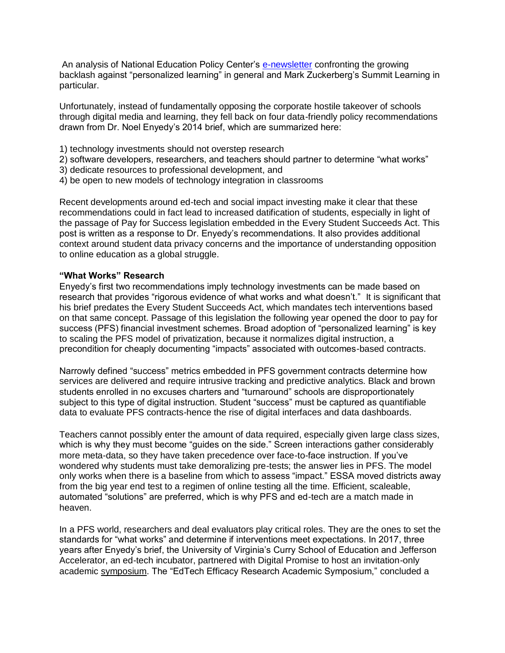An analysis of National Education Policy Center's [e-newsletter](https://nepc.colorado.edu/sites/default/files/publications/Newsletter%20personalized%20learning_1.pdf) confronting the growing backlash against "personalized learning" in general and Mark Zuckerberg's Summit Learning in particular.

Unfortunately, instead of fundamentally opposing the corporate hostile takeover of schools through digital media and learning, they fell back on four data-friendly policy recommendations drawn from Dr. Noel Enyedy's 2014 brief, which are summarized here:

- 1) technology investments should not overstep research
- 2) software developers, researchers, and teachers should partner to determine "what works"
- 3) dedicate resources to professional development, and
- 4) be open to new models of technology integration in classrooms

Recent developments around ed-tech and social impact investing make it clear that these recommendations could in fact lead to increased datification of students, especially in light of the passage of Pay for Success legislation embedded in the Every Student Succeeds Act. This post is written as a response to Dr. Enyedy's recommendations. It also provides additional context around student data privacy concerns and the importance of understanding opposition to online education as a global struggle.

#### **"What Works" Research**

Enyedy's first two recommendations imply technology investments can be made based on research that provides "rigorous evidence of what works and what doesn't." It is significant that his brief predates the Every Student Succeeds Act, which mandates tech interventions based on that same concept. Passage of this legislation the following year opened the door to pay for success (PFS) financial investment schemes. Broad adoption of "personalized learning" is key to scaling the PFS model of privatization, because it normalizes digital instruction, a precondition for cheaply documenting "impacts" associated with outcomes-based contracts.

Narrowly defined "success" metrics embedded in PFS government contracts determine how services are delivered and require intrusive tracking and predictive analytics. Black and brown students enrolled in no excuses charters and "turnaround" schools are disproportionately subject to this type of digital instruction. Student "success" must be captured as quantifiable data to evaluate PFS contracts-hence the rise of digital interfaces and data dashboards.

Teachers cannot possibly enter the amount of data required, especially given large class sizes, which is why they must become "guides on the side." Screen interactions gather considerably more meta-data, so they have taken precedence over face-to-face instruction. If you've wondered why students must take demoralizing pre-tests; the answer lies in PFS. The model only works when there is a baseline from which to assess "impact." ESSA moved districts away from the big year end test to a regimen of online testing all the time. Efficient, scaleable, automated "solutions" are preferred, which is why PFS and ed-tech are a match made in heaven.

In a PFS world, researchers and deal evaluators play critical roles. They are the ones to set the standards for "what works" and determine if interventions meet expectations. In 2017, three years after Enyedy's brief, the University of Virginia's Curry School of Education and Jefferson Accelerator, an ed-tech incubator, partnered with Digital Promise to host an invitation-only academic [symposium.](http://symposium.curry.virginia.edu/working-groups/) The "EdTech Efficacy Research Academic Symposium," concluded a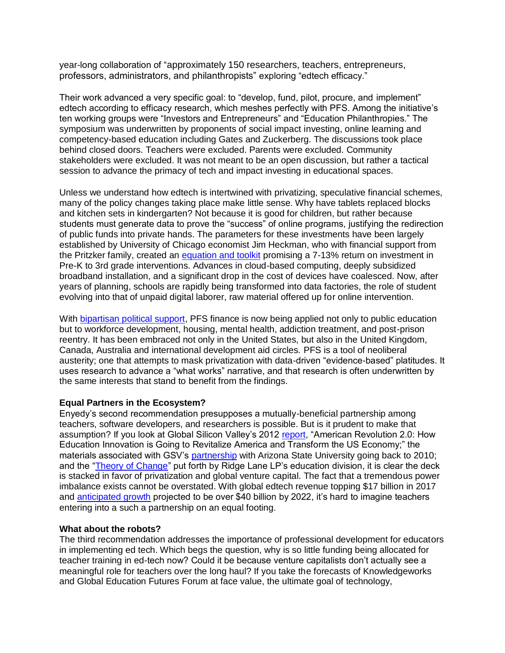year-long collaboration of "approximately 150 researchers, teachers, entrepreneurs, professors, administrators, and philanthropists" exploring "edtech efficacy."

Their work advanced a very specific goal: to "develop, fund, pilot, procure, and implement" edtech according to efficacy research, which meshes perfectly with PFS. Among the initiative's ten working groups were "Investors and Entrepreneurs" and "Education Philanthropies." The symposium was underwritten by proponents of social impact investing, online learning and competency-based education including Gates and Zuckerberg. The discussions took place behind closed doors. Teachers were excluded. Parents were excluded. Community stakeholders were excluded. It was not meant to be an open discussion, but rather a tactical session to advance the primacy of tech and impact investing in educational spaces.

Unless we understand how edtech is intertwined with privatizing, speculative financial schemes, many of the policy changes taking place make little sense. Why have tablets replaced blocks and kitchen sets in kindergarten? Not because it is good for children, but rather because students must generate data to prove the "success" of online programs, justifying the redirection of public funds into private hands. The parameters for these investments have been largely established by University of Chicago economist Jim Heckman, who with financial support from the Pritzker family, created an [equation and toolkit](https://wrenchinthegears.com/2018/06/10/heckman-and-pritzker-pitch-apps-as-poverty-solutions-yielding-a-13-return-on-investment/) promising a 7-13% return on investment in Pre-K to 3rd grade interventions. Advances in cloud-based computing, deeply subsidized broadband installation, and a significant drop in the cost of devices have coalesced. Now, after years of planning, schools are rapidly being transformed into data factories, the role of student evolving into that of unpaid digital laborer, raw material offered up for online intervention.

With [bipartisan political support,](https://wrenchinthegears.com/2018/06/24/a-100-million-secret-bipartisan-political-plan-to-privatize-the-public-sector/) PFS finance is now being applied not only to public education but to workforce development, housing, mental health, addiction treatment, and post-prison reentry. It has been embraced not only in the United States, but also in the United Kingdom, Canada, Australia and international development aid circles. PFS is a tool of neoliberal austerity; one that attempts to mask privatization with data-driven "evidence-based" platitudes. It uses research to advance a "what works" narrative, and that research is often underwritten by the same interests that stand to benefit from the findings.

# **Equal Partners in the Ecosystem?**

Enyedy's second recommendation presupposes a mutually-beneficial partnership among teachers, software developers, and researchers is possible. But is it prudent to make that assumption? If you look at Global Silicon Valley's 2012 [report,](https://www.asugsvsummit.com/files/American_Revolution_2.0.pdf) "American Revolution 2.0: How Education Innovation is Going to Revitalize America and Transform the US Economy;" the materials associated with GSV's [partnership](https://www.asugsvsummit.com/about/mission-history) with Arizona State University going back to 2010; and the ["Theory of Change"](https://www.ridge-lane.com/education/) put forth by Ridge Lane LP's education division, it is clear the deck is stacked in favor of privatization and global venture capital. The fact that a tremendous power imbalance exists cannot be overstated. With global edtech revenue topping \$17 billion in 2017 and [anticipated growth](https://www.businesswire.com/news/home/20180111006109/en/Growth-Opportunities-Global-Education-Technology-Market-2017) projected to be over \$40 billion by 2022, it's hard to imagine teachers entering into a such a partnership on an equal footing.

### **What about the robots?**

The third recommendation addresses the importance of professional development for educators in implementing ed tech. Which begs the question, why is so little funding being allocated for teacher training in ed-tech now? Could it be because venture capitalists don't actually see a meaningful role for teachers over the long haul? If you take the forecasts of Knowledgeworks and Global Education Futures Forum at face value, the ultimate goal of technology,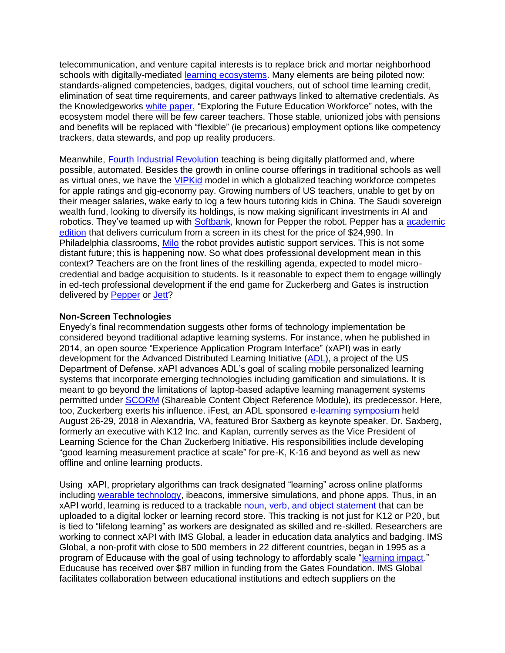telecommunication, and venture capital interests is to replace brick and mortar neighborhood schools with digitally-mediated [learning ecosystems.](https://wrenchinthegears.com/2016/09/23/from-neighborhood-schools-to-learning-eco-systems-a-dangerous-trade/) Many elements are being piloted now: standards-aligned competencies, badges, digital vouchers, out of school time learning credit, elimination of seat time requirements, and career pathways linked to alternative credentials. As the Knowledgeworks [white paper,](https://knowledgeworks.org/wp-content/uploads/2018/01/roles-future-workforce-ecosystem.pdf) "Exploring the Future Education Workforce" notes, with the ecosystem model there will be few career teachers. Those stable, unionized jobs with pensions and benefits will be replaced with "flexible" (ie precarious) employment options like competency trackers, data stewards, and pop up reality producers.

Meanwhile, [Fourth Industrial Revolution](https://www.weforum.org/projects/future-of-work) teaching is being digitally platformed and, where possible, automated. Besides the growth in online course offerings in traditional schools as well as virtual ones, we have the [VIPKid](https://t.vipkid.com.cn/faq/about_vipkid) model in which a globalized teaching workforce competes for apple ratings and gig-economy pay. Growing numbers of US teachers, unable to get by on their meager salaries, wake early to log a few hours tutoring kids in China. The Saudi sovereign wealth fund, looking to diversify its holdings, is now making significant investments in AI and robotics. They've teamed up with [Softbank,](https://www.bloomberg.com/news/articles/2018-10-21/explaining-softbank-s-close-ties-with-saudi-arabia-quicktake) known for Pepper the robot. Pepper has a [academic](https://www.robotlab.com/store/pepper-academic-edition)  [edition](https://www.robotlab.com/store/pepper-academic-edition) that delivers curriculum from a screen in its chest for the price of \$24,990. In Philadelphia classrooms, [Milo](https://www.philasd.org/specializedservices/robots-for-autism/) the robot provides autistic support services. This is not some distant future; this is happening now. So what does professional development mean in this context? Teachers are on the front lines of the reskilling agenda, expected to model microcredential and badge acquisition to students. Is it reasonable to expect them to engage willingly in ed-tech professional development if the end game for Zuckerberg and Gates is instruction delivered by [Pepper](https://www.robotlab.com/store/pepper-academic-edition) o[r Jett?](https://www.robokind.com/robots4stem/home)

## **Non-Screen Technologies**

Enyedy's final recommendation suggests other forms of technology implementation be considered beyond traditional adaptive learning systems. For instance, when he published in 2014, an open source "Experience Application Program Interface" (xAPI) was in early development for the Advanced Distributed Learning Initiative [\(ADL\)](https://www.nist.gov/sites/default/files/documents/ineap/ADL_IITSEC_flyer_FINAL_22Nov2011-1.pdf), a project of the US Department of Defense. xAPI advances ADL's goal of scaling mobile personalized learning systems that incorporate emerging technologies including gamification and simulations. It is meant to go beyond the limitations of laptop-based adaptive learning management systems permitted under [SCORM](https://scorm.com/scorm-explained/) (Shareable Content Object Reference Module), its predecessor. Here, too, Zuckerberg exerts his influence. iFest, an ADL sponsored [e-learning symposium](https://adlnet.gov/ifest-2018#ifest18_speakers) held August 26-29, 2018 in Alexandria, VA, featured Bror Saxberg as keynote speaker. Dr. Saxberg, formerly an executive with K12 Inc. and Kaplan, currently serves as the Vice President of Learning Science for the Chan Zuckerberg Initiative. His responsibilities include developing "good learning measurement practice at scale" for pre-K, K-16 and beyond as well as new offline and online learning products.

Using xAPI, proprietary algorithms can track designated "learning" across online platforms including [wearable technology,](https://knowledgeworks.org/press-releases/impact-wearables-ar-vr-technology-classroom/) ibeacons, immersive simulations, and phone apps. Thus, in an xAPI world, learning is reduced to a trackable [noun, verb, and object statement](https://wrenchinthegears.com/2017/07/14/digital-classrooms-as-data-factories/) that can be uploaded to a digital locker or learning record store. This tracking is not just for K12 or P20, but is tied to "lifelong learning" as workers are designated as skilled and re-skilled. Researchers are working to connect xAPI with IMS Global, a leader in education data analytics and badging. IMS Global, a non-profit with close to 500 members in 22 different countries, began in 1995 as a program of Educause with the goal of using technology to affordably scale ["learning impact.](https://www.imsglobal.org/background.html)" Educause has received over \$87 million in funding from the Gates Foundation. IMS Global facilitates collaboration between educational institutions and edtech suppliers on the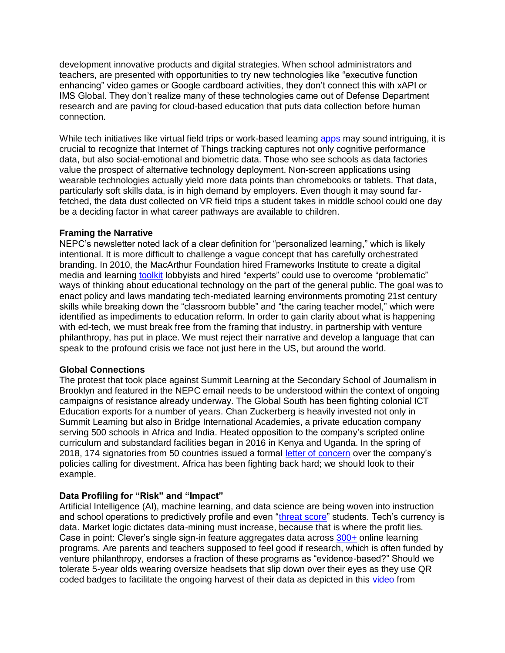development innovative products and digital strategies. When school administrators and teachers, are presented with opportunities to try new technologies like "executive function enhancing" video games or Google cardboard activities, they don't connect this with xAPI or IMS Global. They don't realize many of these technologies came out of Defense Department research and are paving for cloud-based education that puts data collection before human connection.

While tech initiatives like virtual field trips or work-based learning [apps](https://www.salesforce.org/data-tells-story-big-picture-learning/) may sound intriguing, it is crucial to recognize that Internet of Things tracking captures not only cognitive performance data, but also social-emotional and biometric data. Those who see schools as data factories value the prospect of alternative technology deployment. Non-screen applications using wearable technologies actually yield more data points than chromebooks or tablets. That data, particularly soft skills data, is in high demand by employers. Even though it may sound farfetched, the data dust collected on VR field trips a student takes in middle school could one day be a deciding factor in what career pathways are available to children.

## **Framing the Narrative**

NEPC's newsletter noted lack of a clear definition for "personalized learning," which is likely intentional. It is more difficult to challenge a vague concept that has carefully orchestrated branding. In 2010, the MacArthur Foundation hired Frameworks Institute to create a digital media and learning [toolkit](http://www.frameworksinstitute.org/assets/files/DML/dml_message_memo_v2.pdf) lobbyists and hired "experts" could use to overcome "problematic" ways of thinking about educational technology on the part of the general public. The goal was to enact policy and laws mandating tech-mediated learning environments promoting 21st century skills while breaking down the "classroom bubble" and "the caring teacher model," which were identified as impediments to education reform. In order to gain clarity about what is happening with ed-tech, we must break free from the framing that industry, in partnership with venture philanthropy, has put in place. We must reject their narrative and develop a language that can speak to the profound crisis we face not just here in the US, but around the world.

# **Global Connections**

The protest that took place against Summit Learning at the Secondary School of Journalism in Brooklyn and featured in the NEPC email needs to be understood within the context of ongoing campaigns of resistance already underway. The Global South has been fighting colonial ICT Education exports for a number of years. Chan Zuckerberg is heavily invested not only in Summit Learning but also in Bridge International Academies, a private education company serving 500 schools in Africa and India. Heated opposition to the company's scripted online curriculum and substandard facilities began in 2016 in Kenya and Uganda. In the spring of 2018, 174 signatories from 50 countries issued a formal [letter of concern](http://globalinitiative-escr.org/wp-content/uploads/2018/02/Public-Open-Letter-to-Investors-in-BIA-01.03.2018.pdf) over the company's policies calling for divestment. Africa has been fighting back hard; we should look to their example.

# **Data Profiling for "Risk" and "Impact"**

Artificial Intelligence (AI), machine learning, and data science are being woven into instruction and school operations to predictively profile and even ["threat score"](https://www.esd112.org/prevention/threatassessment/?fbclid=IwAR0DMdAN6EjvJArxXUWdpksJzAEDiymNW-6efsoJyX6s5RuNVUfeNnQN4lI) students. Tech's currency is data. Market logic dictates data-mining must increase, because that is where the profit lies. Case in point: Clever's single sign-in feature aggregates data across [300+](https://clever.com/applications) online learning programs. Are parents and teachers supposed to feel good if research, which is often funded by venture philanthropy, endorses a fraction of these programs as "evidence-based?" Should we tolerate 5-year olds wearing oversize headsets that slip down over their eyes as they use QR coded badges to facilitate the ongoing harvest of their data as depicted in this [video](https://www.youtube.com/watch?v=enDthWtZADI) from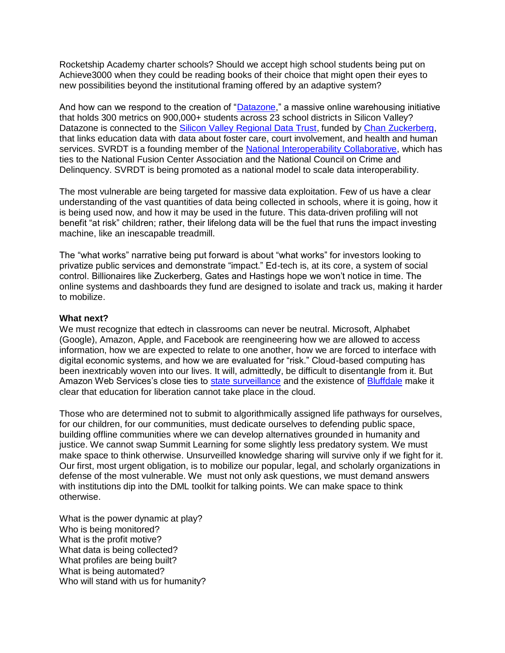Rocketship Academy charter schools? Should we accept high school students being put on Achieve3000 when they could be reading books of their choice that might open their eyes to new possibilities beyond the institutional framing offered by an adaptive system?

And how can we respond to the creation of ["Datazone,](https://www.datazone.org/#features)" a massive online warehousing initiative that holds 300 metrics on 900,000+ students across 23 school districts in Silicon Valley? Datazone is connected to the [Silicon Valley Regional Data Trust,](https://ccrec.ucsc.edu/node/801) funded by [Chan Zuckerberg,](https://www.sccoe.org/news/NR/Pages/011817-SVRDT-awarded-grant-from-Chan-Zuckerberg-Inititiative.aspx) that links education data with data about foster care, court involvement, and health and human services. SVRDT is a founding member of the [National Interoperability Collaborative,](https://nic-us.org/wp-content/uploads/2018/04/NIC-CA2018-Symposium-Final.pdf) which has ties to the National Fusion Center Association and the National Council on Crime and Delinquency. SVRDT is being promoted as a national model to scale data interoperability.

The most vulnerable are being targeted for massive data exploitation. Few of us have a clear understanding of the vast quantities of data being collected in schools, where it is going, how it is being used now, and how it may be used in the future. This data-driven profiling will not benefit "at risk" children; rather, their lifelong data will be the fuel that runs the impact investing machine, like an inescapable treadmill.

The "what works" narrative being put forward is about "what works" for investors looking to privatize public services and demonstrate "impact." Ed-tech is, at its core, a system of social control. Billionaires like Zuckerberg, Gates and Hastings hope we won't notice in time. The online systems and dashboards they fund are designed to isolate and track us, making it harder to mobilize.

### **What next?**

We must recognize that edtech in classrooms can never be neutral. Microsoft, Alphabet (Google), Amazon, Apple, and Facebook are reengineering how we are allowed to access information, how we are expected to relate to one another, how we are forced to interface with digital economic systems, and how we are evaluated for "risk." Cloud-based computing has been inextricably woven into our lives. It will, admittedly, be difficult to disentangle from it. But Amazon Web Services's close ties to [state surveillance](https://aws.amazon.com/blogs/publicsector/announcing-the-new-aws-secret-region/) and the existence of [Bluffdale](https://wrenchinthegears.com/2017/09/07/dear-teachers-using-google-classroom/) make it clear that education for liberation cannot take place in the cloud.

Those who are determined not to submit to algorithmically assigned life pathways for ourselves, for our children, for our communities, must dedicate ourselves to defending public space, building offline communities where we can develop alternatives grounded in humanity and justice. We cannot swap Summit Learning for some slightly less predatory system. We must make space to think otherwise. Unsurveilled knowledge sharing will survive only if we fight for it. Our first, most urgent obligation, is to mobilize our popular, legal, and scholarly organizations in defense of the most vulnerable. We must not only ask questions, we must demand answers with institutions dip into the DML toolkit for talking points. We can make space to think otherwise.

What is the power dynamic at play? Who is being monitored? What is the profit motive? What data is being collected? What profiles are being built? What is being automated? Who will stand with us for humanity?